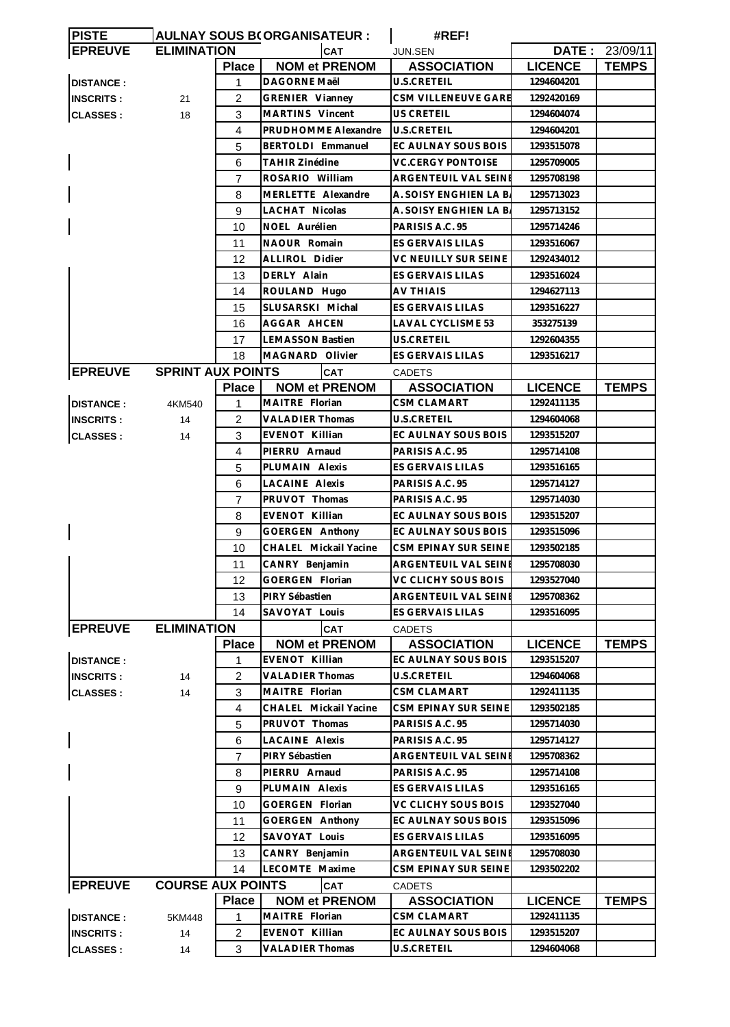| <b>PISTE</b>             |                          |                | AULNAY SOUS B(ORGANISATEUR : | #REF!                    |                |                |
|--------------------------|--------------------------|----------------|------------------------------|--------------------------|----------------|----------------|
| <b>EPREUVE</b>           | <b>ELIMINATION</b>       |                | <b>CAT</b>                   | JUN.SEN                  |                | DATE: 23/09/11 |
|                          |                          | <b>Place</b>   | <b>NOM et PRENOM</b>         | <b>ASSOCIATION</b>       | <b>LICENCE</b> | <b>TEMPS</b>   |
| <b>DISTANCE:</b>         |                          | 1              | DAGORNE Maël                 | U.S.CRETEIL              | 1294604201     |                |
| <b>INSCRITS:</b>         | 21                       | 2              | <b>GRENIER Vianney</b>       | CSM VILLENEUVE GARE      | 1292420169     |                |
| <b>CLASSES:</b>          | 18                       | 3              | MARTINS Vincent              | US CRETEIL               | 1294604074     |                |
|                          |                          | 4              | PRUDHOMME Alexandre          | <b>U.S.CRETEIL</b>       | 1294604201     |                |
|                          |                          | 5              | BERTOLDI Emmanuel            | EC AULNAY SOUS BOIS      | 1293515078     |                |
|                          |                          | 6              | <b>TAHIR Zinédine</b>        | <b>VC.CERGY PONTOISE</b> | 1295709005     |                |
|                          |                          | 7              | ROSARIO William              | ARGENTEUIL VAL SEINE     | 1295708198     |                |
|                          |                          | 8              | MERLETTE Alexandre           | A. SOISY ENGHIEN LA B.   | 1295713023     |                |
|                          |                          | 9              | <b>LACHAT Nicolas</b>        | A. SOISY ENGHIEN LA B.   | 1295713152     |                |
|                          |                          | 10             | NOEL Aurélien                | PARISIS A.C. 95          | 1295714246     |                |
|                          |                          | 11             | NAOUR Romain                 | ES GERVAIS LILAS         | 1293516067     |                |
|                          |                          | 12             | <b>ALLIROL Didier</b>        | VC NEUILLY SUR SEINE     | 1292434012     |                |
|                          |                          | 13             | DERLY Alain                  | <b>ES GERVAIS LILAS</b>  | 1293516024     |                |
|                          |                          |                |                              | <b>AV THIAIS</b>         |                |                |
|                          |                          | 14             | ROULAND Hugo                 |                          | 1294627113     |                |
|                          |                          | 15             | SLUSARSKI Michal             | ES GERVAIS LILAS         | 1293516227     |                |
|                          |                          | 16             | AGGAR AHCEN                  | <b>LAVAL CYCLISME 53</b> | 353275139      |                |
|                          |                          | 17             | <b>LEMASSON Bastien</b>      | US.CRETEIL               | 1292604355     |                |
|                          |                          | 18             | MAGNARD Olivier              | ES GERVAIS LILAS         | 1293516217     |                |
| <b>EPREUVE</b>           | <b>SPRINT AUX POINTS</b> |                | <b>CAT</b>                   | <b>CADETS</b>            |                |                |
|                          |                          | <b>Place</b>   | <b>NOM et PRENOM</b>         | <b>ASSOCIATION</b>       | <b>LICENCE</b> | <b>TEMPS</b>   |
| <b>DISTANCE:</b>         | 4KM540                   | 1              | MAITRE Florian               | <b>CSM CLAMART</b>       | 1292411135     |                |
| <b>INSCRITS:</b>         | 14                       | 2              | <b>VALADIER Thomas</b>       | U.S.CRETEIL              | 1294604068     |                |
| <b>CLASSES:</b>          | 14                       | 3              | EVENOT Killian               | EC AULNAY SOUS BOIS      | 1293515207     |                |
|                          |                          | 4              | PIERRU Arnaud                | PARISIS A.C. 95          | 1295714108     |                |
|                          |                          | 5              | PLUMAIN Alexis               | ES GERVAIS LILAS         | 1293516165     |                |
|                          |                          | 6              | <b>LACAINE Alexis</b>        | PARISIS A.C. 95          | 1295714127     |                |
|                          |                          | 7              | PRUVOT Thomas                | PARISIS A.C. 95          | 1295714030     |                |
|                          |                          | 8              | <b>EVENOT Killian</b>        | EC AULNAY SOUS BOIS      | 1293515207     |                |
| $\overline{\phantom{a}}$ |                          | 9              | <b>GOERGEN Anthony</b>       | EC AULNAY SOUS BOIS      | 1293515096     |                |
|                          |                          | 10             | CHALEL Mickail Yacine        | CSM EPINAY SUR SEINE     | 1293502185     |                |
|                          |                          | 11             | CANRY Benjamin               | ARGENTEUIL VAL SEINE     | 1295708030     |                |
|                          |                          | 12             | GOERGEN Florian              | VC CLICHY SOUS BOIS      | 1293527040     |                |
|                          |                          | 13             | PIRY Sébastien               | ARGENTEUIL VAL SEINE     | 1295708362     |                |
|                          |                          | 14             | SAVOYAT Louis                | ES GERVAIS LILAS         | 1293516095     |                |
| <b>EPREUVE</b>           | <b>ELIMINATION</b>       |                | <b>CAT</b>                   | <b>CADETS</b>            |                |                |
|                          |                          | <b>Place</b>   | <b>NOM et PRENOM</b>         | <b>ASSOCIATION</b>       | <b>LICENCE</b> | <b>TEMPS</b>   |
| <b>DISTANCE:</b>         |                          | 1              | EVENOT Killian               | EC AULNAY SOUS BOIS      | 1293515207     |                |
| <b>INSCRITS:</b>         | 14                       | 2              | <b>VALADIER Thomas</b>       | U.S.CRETEIL              | 1294604068     |                |
| <b>CLASSES:</b>          | 14                       | 3              | MAITRE Florian               | CSM CLAMART              | 1292411135     |                |
|                          |                          | $\overline{4}$ | CHALEL Mickail Yacine        | CSM EPINAY SUR SEINE     | 1293502185     |                |
|                          |                          | 5              | PRUVOT Thomas                | PARISIS A.C. 95          | 1295714030     |                |
|                          |                          | 6              | LACAINE Alexis               | PARISIS A.C. 95          | 1295714127     |                |
|                          |                          | 7              | PIRY Sébastien               | ARGENTEUIL VAL SEINI     | 1295708362     |                |
|                          |                          | 8              | PIERRU Arnaud                | PARISIS A.C. 95          | 1295714108     |                |
|                          |                          | 9              | PLUMAIN Alexis               | ES GERVAIS LILAS         | 1293516165     |                |
|                          |                          | 10             | GOERGEN Florian              | VC CLICHY SOUS BOIS      | 1293527040     |                |
|                          |                          | 11             | <b>GOERGEN Anthony</b>       | EC AULNAY SOUS BOIS      | 1293515096     |                |
|                          |                          | 12             | SAVOYAT Louis                | ES GERVAIS LILAS         | 1293516095     |                |
|                          |                          | 13             | CANRY Benjamin               | ARGENTEUIL VAL SEINE     | 1295708030     |                |
|                          |                          | 14             | LECOMTE Maxime               | CSM EPINAY SUR SEINE     | 1293502202     |                |
|                          |                          |                |                              |                          |                |                |
| <b>EPREUVE</b>           | <b>COURSE AUX POINTS</b> |                | CAT                          | <b>CADETS</b>            |                |                |
|                          |                          | <b>Place</b>   | <b>NOM et PRENOM</b>         | <b>ASSOCIATION</b>       | <b>LICENCE</b> | <b>TEMPS</b>   |
| <b>DISTANCE:</b>         | 5KM448                   | 1              | MAITRE Florian               | CSM CLAMART              | 1292411135     |                |
| <b>INSCRITS:</b>         | 14                       | 2              | EVENOT Killian               | EC AULNAY SOUS BOIS      | 1293515207     |                |
| <b>CLASSES:</b>          | 14                       | 3              | <b>VALADIER Thomas</b>       | U.S.CRETEIL              | 1294604068     |                |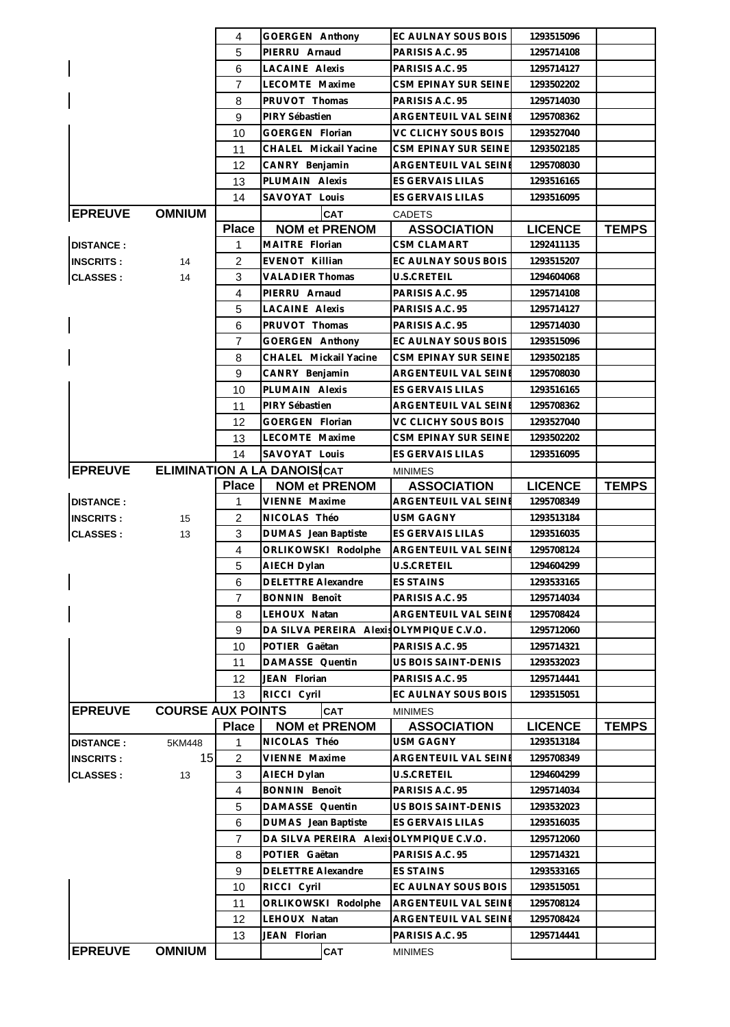|                  |                          | 4              | GOERGEN Anthony                          | EC AULNAY SOUS BOIS     | 1293515096     |              |
|------------------|--------------------------|----------------|------------------------------------------|-------------------------|----------------|--------------|
|                  |                          | 5              | PIERRU Arnaud                            | PARISIS A.C. 95         | 1295714108     |              |
|                  |                          | 6              | <b>LACAINE Alexis</b>                    | PARISIS A.C. 95         | 1295714127     |              |
|                  |                          | 7              | LECOMTE Maxime                           | CSM EPINAY SUR SEINE    | 1293502202     |              |
|                  |                          | 8              | PRUVOT Thomas                            | PARISIS A.C. 95         | 1295714030     |              |
|                  |                          | 9              | PIRY Sébastien                           | ARGENTEUIL VAL SEINE    | 1295708362     |              |
|                  |                          | 10             | GOERGEN Florian                          | VC CLICHY SOUS BOIS     | 1293527040     |              |
|                  |                          | 11             | CHALEL Mickail Yacine                    | CSM EPINAY SUR SEINE    | 1293502185     |              |
|                  |                          | 12             | CANRY Benjamin                           | ARGENTEUIL VAL SEINE    | 1295708030     |              |
|                  |                          | 13             | PLUMAIN Alexis                           | ES GERVAIS LILAS        | 1293516165     |              |
|                  |                          | 14             | SAVOYAT Louis                            | ES GERVAIS LILAS        | 1293516095     |              |
| <b>EPREUVE</b>   | <b>OMNIUM</b>            |                | <b>CAT</b>                               | <b>CADETS</b>           |                |              |
|                  |                          | <b>Place</b>   | <b>NOM et PRENOM</b>                     | <b>ASSOCIATION</b>      | <b>LICENCE</b> | <b>TEMPS</b> |
| <b>DISTANCE:</b> |                          | 1              | MAITRE Florian                           | <b>CSM CLAMART</b>      | 1292411135     |              |
|                  |                          |                |                                          |                         |                |              |
| <b>INSCRITS:</b> | 14                       | 2              | EVENOT Killian                           | EC AULNAY SOUS BOIS     | 1293515207     |              |
| <b>CLASSES:</b>  | 14                       | 3              | <b>VALADIER Thomas</b>                   | U.S.CRETEIL             | 1294604068     |              |
|                  |                          | $\overline{4}$ | PIERRU Arnaud                            | PARISIS A.C. 95         | 1295714108     |              |
|                  |                          | 5              | <b>LACAINE Alexis</b>                    | PARISIS A.C. 95         | 1295714127     |              |
|                  |                          | 6              | PRUVOT Thomas                            | PARISIS A.C. 95         | 1295714030     |              |
|                  |                          | $\overline{7}$ | GOERGEN Anthony                          | EC AULNAY SOUS BOIS     | 1293515096     |              |
|                  |                          | 8              | CHALEL Mickail Yacine                    | CSM EPINAY SUR SEINE    | 1293502185     |              |
|                  |                          | 9              | CANRY Benjamin                           | ARGENTEUIL VAL SEINE    | 1295708030     |              |
|                  |                          | 10             | PLUMAIN Alexis                           | ES GERVAIS LILAS        | 1293516165     |              |
|                  |                          | 11             | PIRY Sébastien                           | ARGENTEUIL VAL SEINI    | 1295708362     |              |
|                  |                          | 12             | GOERGEN Florian                          | VC CLICHY SOUS BOIS     | 1293527040     |              |
|                  |                          | 13             | LECOMTE Maxime                           | CSM EPINAY SUR SEINE    | 1293502202     |              |
|                  |                          | 14             | SAVOYAT Louis                            | ES GERVAIS LILAS        | 1293516095     |              |
| <b>EPREUVE</b>   |                          |                | <b>ELIMINATION A LA DANOISICAT</b>       | <b>MINIMES</b>          |                |              |
|                  |                          | <b>Place</b>   | <b>NOM et PRENOM</b>                     | <b>ASSOCIATION</b>      | <b>LICENCE</b> | <b>TEMPS</b> |
| <b>DISTANCE:</b> |                          | 1              | VIENNE Maxime                            | ARGENTEUIL VAL SEINE    | 1295708349     |              |
| <b>INSCRITS:</b> | 15                       | 2              | NICOLAS Théo                             | USM GAGNY               | 1293513184     |              |
| <b>CLASSES:</b>  | 13                       | 3              | DUMAS Jean Baptiste                      | <b>ES GERVAIS LILAS</b> | 1293516035     |              |
|                  |                          | 4              | ORLIKOWSKI Rodolphe                      | ARGENTEUIL VAL SEINE    | 1295708124     |              |
|                  |                          | 5              | AIECH Dylan                              | <b>U.S.CRETEIL</b>      | 1294604299     |              |
|                  |                          | 6              | DELETTRE Alexandre                       | <b>ES STAINS</b>        | 1293533165     |              |
|                  |                          | 7              | <b>BONNIN Benoît</b>                     | PARISIS A.C. 95         | 1295714034     |              |
|                  |                          | 8              | LEHOUX Natan                             | ARGENTEUIL VAL SEINE    | 1295708424     |              |
|                  |                          | 9              | DA SILVA PEREIRA Alexis OLYMPIQUE C.V.O. |                         | 1295712060     |              |
|                  |                          | 10             | POTIER Gaëtan                            | PARISIS A.C. 95         | 1295714321     |              |
|                  |                          | 11             | DAMASSE Quentin                          | US BOIS SAINT-DENIS     | 1293532023     |              |
|                  |                          | 12             | JEAN Florian                             | PARISIS A.C. 95         | 1295714441     |              |
|                  |                          | 13             | RICCI Cyril                              | EC AULNAY SOUS BOIS     | 1293515051     |              |
| <b>EPREUVE</b>   |                          |                |                                          |                         |                |              |
|                  |                          |                |                                          |                         |                |              |
|                  | <b>COURSE AUX POINTS</b> |                | <b>CAT</b>                               | <b>MINIMES</b>          |                |              |
|                  |                          | <b>Place</b>   | <b>NOM et PRENOM</b>                     | <b>ASSOCIATION</b>      | <b>LICENCE</b> | <b>TEMPS</b> |
| <b>DISTANCE:</b> | 5KM448                   | 1              | NICOLAS Théo                             | <b>USM GAGNY</b>        | 1293513184     |              |
| <b>INSCRITS:</b> | 15                       | 2              | VIENNE Maxime                            | ARGENTEUIL VAL SEINI    | 1295708349     |              |
| <b>CLASSES:</b>  | 13                       | 3              | AIECH Dylan                              | U.S.CRETEIL             | 1294604299     |              |
|                  |                          | $\overline{4}$ | <b>BONNIN Benoît</b>                     | PARISIS A.C. 95         | 1295714034     |              |
|                  |                          | 5              | DAMASSE Quentin                          | US BOIS SAINT-DENIS     | 1293532023     |              |
|                  |                          | 6              | DUMAS Jean Baptiste                      | ES GERVAIS LILAS        | 1293516035     |              |
|                  |                          | $\overline{7}$ | DA SILVA PEREIRA Alexis                  | OLYMPIQUE C.V.O.        | 1295712060     |              |
|                  |                          | 8              | POTIER Gaëtan                            | PARISIS A.C. 95         | 1295714321     |              |
|                  |                          | 9              | <b>DELETTRE Alexandre</b>                | <b>ES STAINS</b>        | 1293533165     |              |
|                  |                          | 10             | RICCI Cyril                              | EC AULNAY SOUS BOIS     | 1293515051     |              |
|                  |                          | 11             | ORLIKOWSKI Rodolphe                      | ARGENTEUIL VAL SEINE    | 1295708124     |              |
|                  |                          | 12             | LEHOUX Natan                             | ARGENTEUIL VAL SEINI    | 1295708424     |              |
|                  |                          | 13             | JEAN Florian                             | PARISIS A.C. 95         | 1295714441     |              |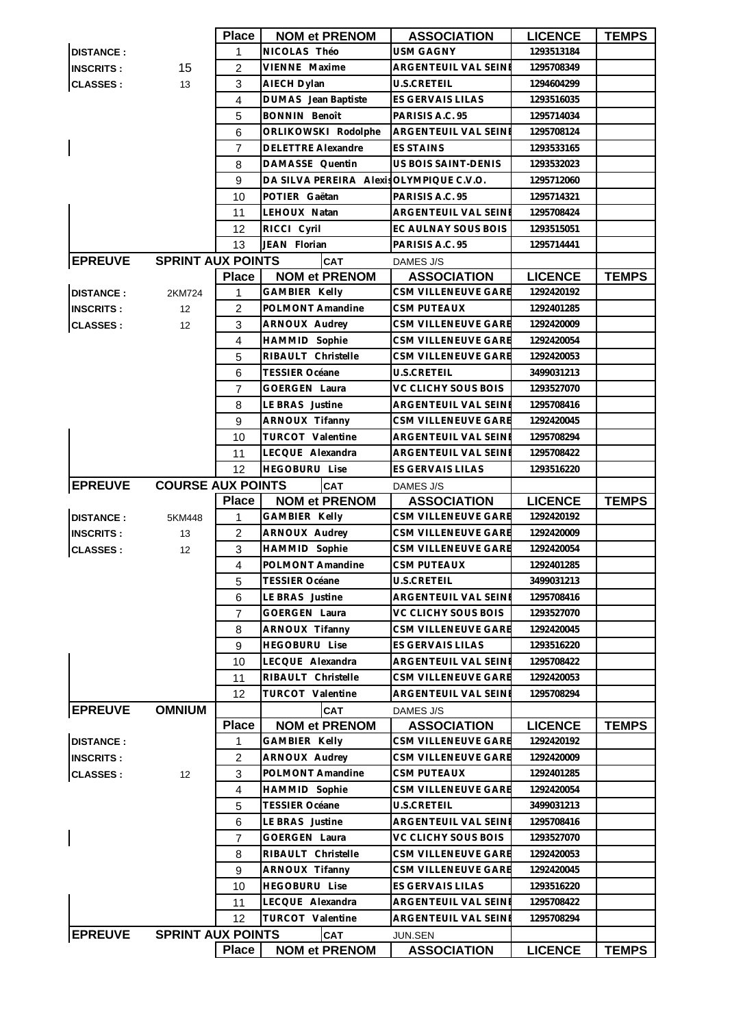|                  |                          | Place          | <b>NOM et PRENOM</b>                             | <b>ASSOCIATION</b>            | <b>LICENCE</b> | <b>TEMPS</b> |
|------------------|--------------------------|----------------|--------------------------------------------------|-------------------------------|----------------|--------------|
| <b>DISTANCE:</b> |                          | 1              | NICOLAS Théo                                     | <b>USM GAGNY</b>              | 1293513184     |              |
| <b>INSCRITS:</b> | 15                       | $\overline{2}$ | VIENNE Maxime                                    | ARGENTEUIL VAL SEINE          | 1295708349     |              |
| <b>CLASSES:</b>  | 13                       | 3              | AIECH Dylan                                      | U.S.CRETEIL                   | 1294604299     |              |
|                  |                          | 4              | DUMAS Jean Baptiste                              | ES GERVAIS LILAS              | 1293516035     |              |
|                  |                          | 5              | <b>BONNIN Benoît</b>                             | PARISIS A.C. 95               | 1295714034     |              |
|                  |                          | 6              | ORLIKOWSKI Rodolphe                              | ARGENTEUIL VAL SEINE          | 1295708124     |              |
| $\mathsf I$      |                          | 7              | <b>DELETTRE Alexandre</b>                        | <b>ES STAINS</b>              | 1293533165     |              |
|                  |                          | 8              | DAMASSE Quentin                                  | US BOIS SAINT-DENIS           | 1293532023     |              |
|                  |                          | 9              | DA SILVA PEREIRA Alexis OLYMPIQUE C.V.O.         |                               | 1295712060     |              |
|                  |                          | 10             | POTIER Gaëtan                                    | PARISIS A.C. 95               | 1295714321     |              |
|                  |                          | 11             | LEHOUX Natan                                     | ARGENTEUIL VAL SEINE          | 1295708424     |              |
|                  |                          | 12             | RICCI Cyril                                      | EC AULNAY SOUS BOIS           | 1293515051     |              |
|                  |                          | 13             | JEAN Florian                                     | PARISIS A.C. 95               | 1295714441     |              |
| <b>EPREUVE</b>   | <b>SPRINT AUX POINTS</b> |                | <b>CAT</b>                                       | DAMES J/S                     |                |              |
|                  |                          | <b>Place</b>   | <b>NOM et PRENOM</b>                             | <b>ASSOCIATION</b>            | <b>LICENCE</b> | <b>TEMPS</b> |
| <b>DISTANCE:</b> | 2KM724                   | $\mathbf{1}$   | GAMBIER Kelly                                    | CSM VILLENEUVE GARE           | 1292420192     |              |
| <b>INSCRITS:</b> | 12                       | 2              | POLMONT Amandine                                 | <b>CSM PUTEAUX</b>            | 1292401285     |              |
| <b>CLASSES:</b>  | 12                       | 3              | ARNOUX Audrey                                    | CSM VILLENEUVE GARE           | 1292420009     |              |
|                  |                          | 4              | HAMMID Sophie                                    | CSM VILLENEUVE GARE           | 1292420054     |              |
|                  |                          | 5              | RIBAULT Christelle                               | CSM VILLENEUVE GARE           | 1292420053     |              |
|                  |                          | 6              | <b>TESSIER Océane</b>                            | <b>U.S.CRETEIL</b>            | 3499031213     |              |
|                  |                          | $\overline{7}$ | <b>GOERGEN Laura</b>                             | VC CLICHY SOUS BOIS           | 1293527070     |              |
|                  |                          | 8              | LE BRAS Justine                                  | ARGENTEUIL VAL SEINI          | 1295708416     |              |
|                  |                          |                |                                                  |                               |                |              |
|                  |                          | 9              | <b>ARNOUX Tifanny</b><br><b>TURCOT Valentine</b> | CSM VILLENEUVE GARE           | 1292420045     |              |
|                  |                          | 10             |                                                  | ARGENTEUIL VAL SEINE          | 1295708294     |              |
|                  |                          | 11             | LECQUE Alexandra                                 | ARGENTEUIL VAL SEINE          | 1295708422     |              |
|                  |                          | 12             | <b>HEGOBURU Lise</b>                             | ES GERVAIS LILAS              | 1293516220     |              |
| <b>EPREUVE</b>   | <b>COURSE AUX POINTS</b> |                | <b>CAT</b>                                       | DAMES J/S                     |                |              |
|                  |                          |                |                                                  |                               |                |              |
|                  |                          | <b>Place</b>   | <b>NOM et PRENOM</b>                             | <b>ASSOCIATION</b>            | <b>LICENCE</b> | <b>TEMPS</b> |
| <b>DISTANCE:</b> | 5KM448                   | 1              | <b>GAMBIER Kelly</b>                             | CSM VILLENEUVE GARE           | 1292420192     |              |
| <b>INSCRITS:</b> | 13                       | $\overline{c}$ | ARNOUX Audrey                                    | CSM VILLENEUVE GARE           | 1292420009     |              |
| <b>CLASSES:</b>  | 12 <sup>2</sup>          | 3              | HAMMID Sophie                                    | CSM VILLENEUVE GARE           | 1292420054     |              |
|                  |                          | $\overline{4}$ | POLMONT Amandine                                 | <b>CSM PUTEAUX</b>            | 1292401285     |              |
|                  |                          | 5              | TESSIER Océane                                   | U.S.CRETEIL                   | 3499031213     |              |
|                  |                          | 6              | LE BRAS Justine                                  | ARGENTEUIL VAL SEINE          | 1295708416     |              |
|                  |                          | $\overline{7}$ | <b>GOERGEN Laura</b>                             | VC CLICHY SOUS BOIS           | 1293527070     |              |
|                  |                          | 8              | ARNOUX Tifanny                                   | CSM VILLENEUVE GARE           | 1292420045     |              |
|                  |                          | 9              | <b>HEGOBURU Lise</b>                             | <b>ES GERVAIS LILAS</b>       | 1293516220     |              |
|                  |                          | 10             | LECQUE Alexandra                                 | ARGENTEUIL VAL SEINE          | 1295708422     |              |
|                  |                          | 11             | RIBAULT Christelle                               | <b>CSM VILLENEUVE GARE</b>    | 1292420053     |              |
|                  |                          | 12             | <b>TURCOT Valentine</b>                          | ARGENTEUIL VAL SEINE          | 1295708294     |              |
| <b>EPREUVE</b>   | <b>OMNIUM</b>            |                | <b>CAT</b>                                       | DAMES J/S                     |                |              |
|                  |                          | <b>Place</b>   | <b>NOM et PRENOM</b>                             | <b>ASSOCIATION</b>            | <b>LICENCE</b> | <b>TEMPS</b> |
| <b>DISTANCE:</b> |                          | 1              | <b>GAMBIER Kelly</b>                             | CSM VILLENEUVE GARE           | 1292420192     |              |
| <b>INSCRITS:</b> |                          | $\overline{2}$ | ARNOUX Audrey                                    | CSM VILLENEUVE GARE           | 1292420009     |              |
| <b>CLASSES:</b>  | 12                       | 3              | POLMONT Amandine                                 | <b>CSM PUTEAUX</b>            | 1292401285     |              |
|                  |                          | 4              | <b>HAMMID Sophie</b>                             | CSM VILLENEUVE GARE           | 1292420054     |              |
|                  |                          | 5              | <b>TESSIER Océane</b>                            | U.S.CRETEIL                   | 3499031213     |              |
|                  |                          | 6              | LE BRAS Justine                                  | ARGENTEUIL VAL SEINI          | 1295708416     |              |
|                  |                          | 7              | GOERGEN Laura                                    | VC CLICHY SOUS BOIS           | 1293527070     |              |
|                  |                          | 8              | RIBAULT Christelle                               | CSM VILLENEUVE GARE           | 1292420053     |              |
|                  |                          | 9              | ARNOUX Tifanny                                   | CSM VILLENEUVE GARE           | 1292420045     |              |
|                  |                          | 10             | <b>HEGOBURU Lise</b>                             | ES GERVAIS LILAS              | 1293516220     |              |
|                  |                          | 11             | LECQUE Alexandra                                 | ARGENTEUIL VAL SEINE          | 1295708422     |              |
|                  |                          | 12             | <b>TURCOT Valentine</b>                          | ARGENTEUIL VAL SEINI          | 1295708294     |              |
| <b>EPREUVE</b>   | <b>SPRINT AUX POINTS</b> | <b>Place</b>   | <b>CAT</b><br><b>NOM et PRENOM</b>               | JUN.SEN<br><b>ASSOCIATION</b> | <b>LICENCE</b> | <b>TEMPS</b> |